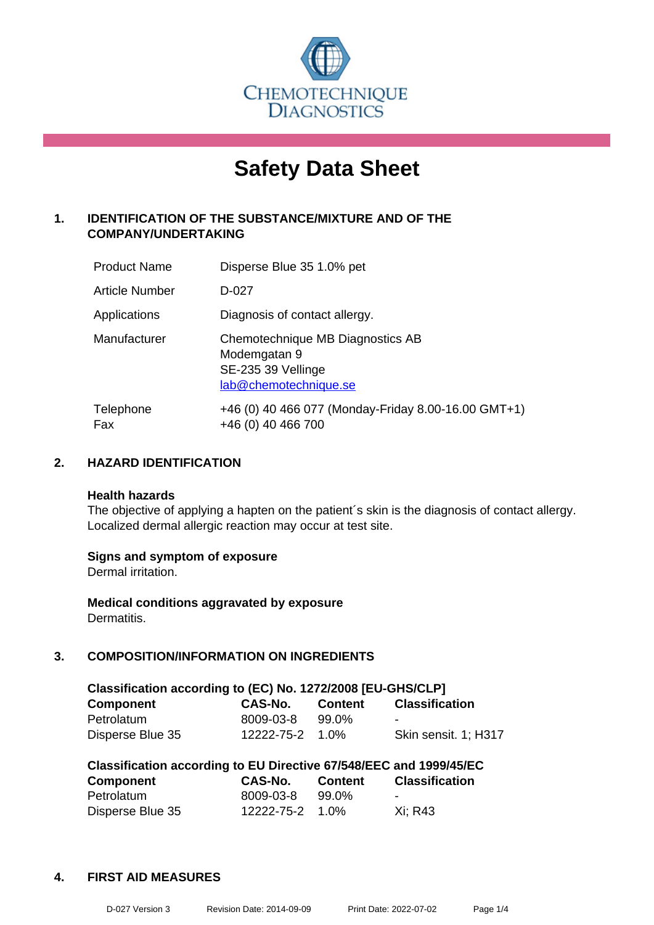

# **Safety Data Sheet**

# **1. IDENTIFICATION OF THE SUBSTANCE/MIXTURE AND OF THE COMPANY/UNDERTAKING**

| <b>Product Name</b> | Disperse Blue 35 1.0% pet                                                                       |
|---------------------|-------------------------------------------------------------------------------------------------|
| Article Number      | D-027                                                                                           |
| Applications        | Diagnosis of contact allergy.                                                                   |
| Manufacturer        | Chemotechnique MB Diagnostics AB<br>Modemgatan 9<br>SE-235 39 Vellinge<br>lab@chemotechnique.se |
| Telephone<br>Fax    | +46 (0) 40 466 077 (Monday-Friday 8.00-16.00 GMT+1)<br>+46 (0) 40 466 700                       |

# **2. HAZARD IDENTIFICATION**

#### **Health hazards**

The objective of applying a hapten on the patient's skin is the diagnosis of contact allergy. Localized dermal allergic reaction may occur at test site.

#### **Signs and symptom of exposure**

Dermal irritation.

**Medical conditions aggravated by exposure** Dermatitis.

# **3. COMPOSITION/INFORMATION ON INGREDIENTS**

| Classification according to (EC) No. 1272/2008 [EU-GHS/CLP] |                 |         |                          |  |
|-------------------------------------------------------------|-----------------|---------|--------------------------|--|
| <b>Component</b>                                            | <b>CAS-No.</b>  | Content | <b>Classification</b>    |  |
| Petrolatum                                                  | 8009-03-8       | 99.0%   | $\overline{\phantom{0}}$ |  |
| Disperse Blue 35                                            | 12222-75-2 1.0% |         | Skin sensit. 1: H317     |  |

| Classification according to EU Directive 67/548/EEC and 1999/45/EC |            |                |                       |  |
|--------------------------------------------------------------------|------------|----------------|-----------------------|--|
| <b>Component</b>                                                   | CAS-No.    | <b>Content</b> | <b>Classification</b> |  |
| Petrolatum                                                         | 8009-03-8  | 99.0%          |                       |  |
| Disperse Blue 35                                                   | 12222-75-2 | 1.0%           | Xi: R43               |  |

#### **4. FIRST AID MEASURES**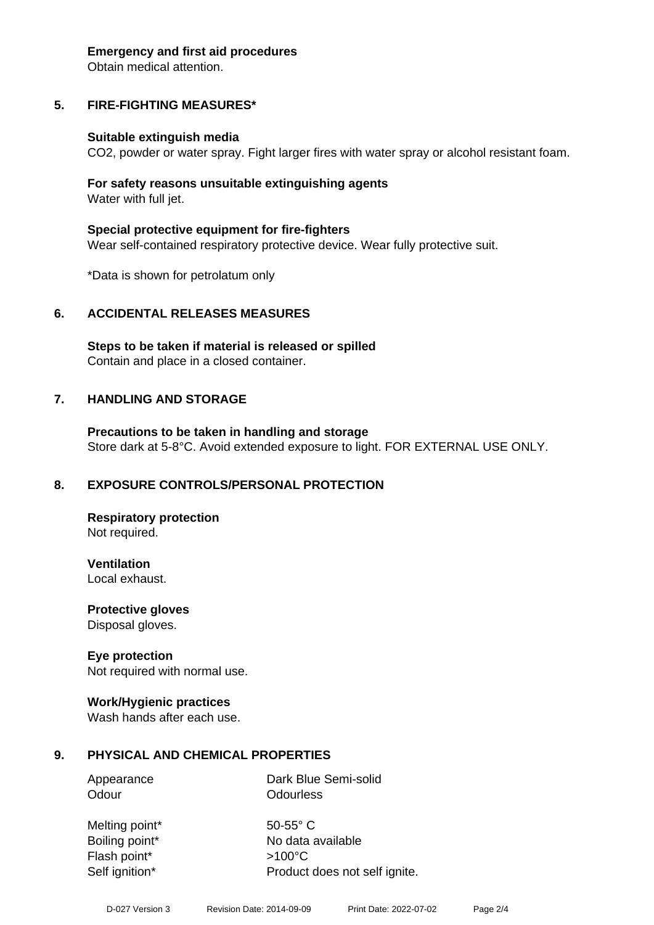#### **Emergency and first aid procedures**

Obtain medical attention.

# **5. FIRE-FIGHTING MEASURES\***

#### **Suitable extinguish media**

CO2, powder or water spray. Fight larger fires with water spray or alcohol resistant foam.

#### **For safety reasons unsuitable extinguishing agents** Water with full jet.

**Special protective equipment for fire-fighters** Wear self-contained respiratory protective device. Wear fully protective suit.

\*Data is shown for petrolatum only

#### **6. ACCIDENTAL RELEASES MEASURES**

**Steps to be taken if material is released or spilled** Contain and place in a closed container.

#### **7. HANDLING AND STORAGE**

**Precautions to be taken in handling and storage** Store dark at 5-8°C. Avoid extended exposure to light. FOR EXTERNAL USE ONLY.

#### **8. EXPOSURE CONTROLS/PERSONAL PROTECTION**

**Respiratory protection** Not required.

**Ventilation** Local exhaust.

**Protective gloves**

Disposal gloves.

#### **Eye protection**

Not required with normal use.

#### **Work/Hygienic practices**

Wash hands after each use.

#### **9. PHYSICAL AND CHEMICAL PROPERTIES**

Appearance Dark Blue Semi-solid Odour **Odourless** 

Melting point\* 50-55° C Flash point\* >100°C Self ignition\* Product does not self ignite.

Boiling point\* No data available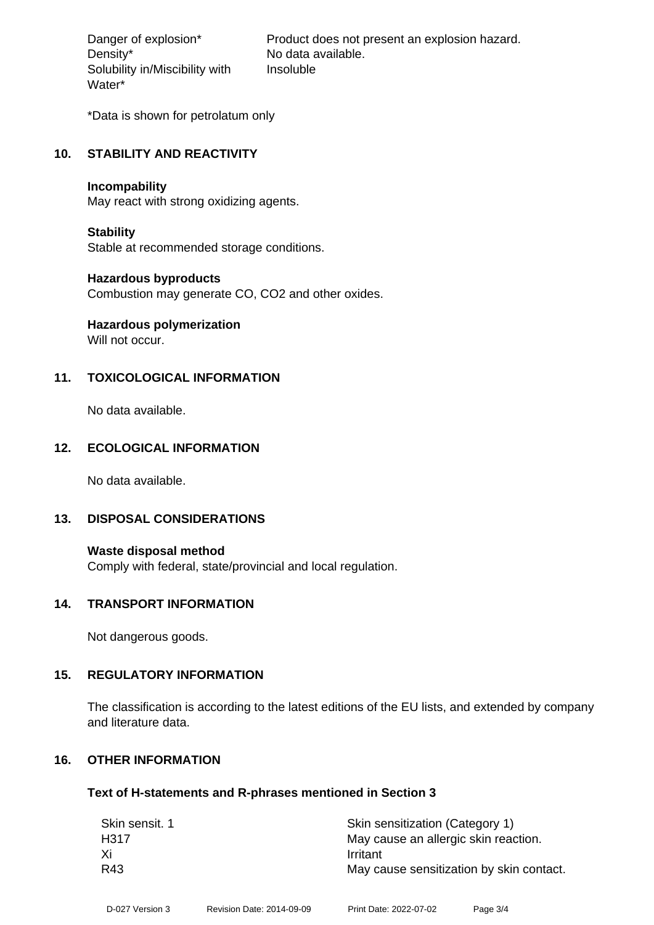Density\* No data available. Solubility in/Miscibility with Water\*

Danger of explosion\* Product does not present an explosion hazard. Insoluble

\*Data is shown for petrolatum only

#### **10. STABILITY AND REACTIVITY**

#### **Incompability**

May react with strong oxidizing agents.

#### **Stability**

Stable at recommended storage conditions.

#### **Hazardous byproducts**

Combustion may generate CO, CO2 and other oxides.

# **Hazardous polymerization**

Will not occur.

# **11. TOXICOLOGICAL INFORMATION**

No data available.

# **12. ECOLOGICAL INFORMATION**

No data available.

#### **13. DISPOSAL CONSIDERATIONS**

**Waste disposal method** Comply with federal, state/provincial and local regulation.

#### **14. TRANSPORT INFORMATION**

Not dangerous goods.

#### **15. REGULATORY INFORMATION**

The classification is according to the latest editions of the EU lists, and extended by company and literature data.

#### **16. OTHER INFORMATION**

#### **Text of H-statements and R-phrases mentioned in Section 3**

| Skin sensit. 1 | Skin sensitization (Category 1)          |
|----------------|------------------------------------------|
| H317           | May cause an allergic skin reaction.     |
| Xi             | Irritant                                 |
| R43            | May cause sensitization by skin contact. |
|                |                                          |